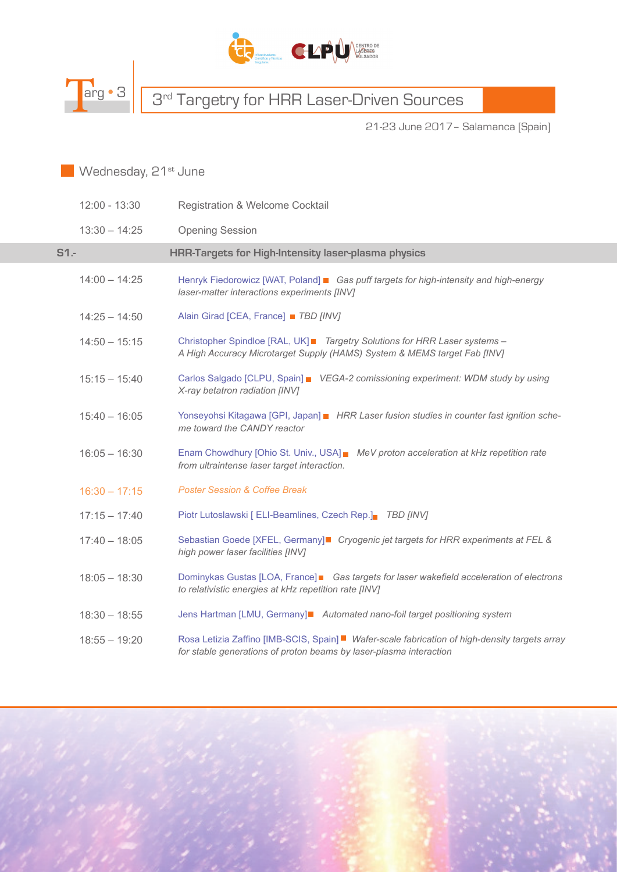



# Targ • 3 3<sup>rd</sup> Targetry for HRR Laser-Driven Sources

21-23 June 2017– Salamanca [Spain]

#### Wednesday, 21<sup>st</sup> June

|        | $12:00 - 13:30$ | <b>Registration &amp; Welcome Cocktail</b>                                                                                                                           |
|--------|-----------------|----------------------------------------------------------------------------------------------------------------------------------------------------------------------|
|        | $13:30 - 14:25$ | <b>Opening Session</b>                                                                                                                                               |
| $S1 -$ |                 | <b>HRR-Targets for High-Intensity laser-plasma physics</b>                                                                                                           |
|        | $14:00 - 14:25$ | Henryk Fiedorowicz [WAT, Poland] ■ Gas puff targets for high-intensity and high-energy<br>laser-matter interactions experiments [INV]                                |
|        | $14:25 - 14:50$ | Alain Girad [CEA, France] ■ TBD [INV]                                                                                                                                |
|        | $14:50 - 15:15$ | Christopher Spindloe [RAL, UK]■ Targetry Solutions for HRR Laser systems -<br>A High Accuracy Microtarget Supply (HAMS) System & MEMS target Fab [INV]               |
|        | $15:15 - 15:40$ | Carlos Salgado [CLPU, Spain] VEGA-2 comissioning experiment: WDM study by using<br>X-ray betatron radiation [INV]                                                    |
|        | $15:40 - 16:05$ | Yonseyohsi Kitagawa [GPI, Japan] HRR Laser fusion studies in counter fast ignition sche-<br>me toward the CANDY reactor                                              |
|        | $16:05 - 16:30$ | Enam Chowdhury [Ohio St. Univ., USA] MeV proton acceleration at kHz repetition rate<br>from ultraintense laser target interaction.                                   |
|        | $16:30 - 17:15$ | <b>Poster Session &amp; Coffee Break</b>                                                                                                                             |
|        | $17:15 - 17:40$ | Piotr Lutoslawski [ ELI-Beamlines, Czech Rep.] TBD [INV]                                                                                                             |
|        | $17:40 - 18:05$ | Sebastian Goede [XFEL, Germany]■ Cryogenic jet targets for HRR experiments at FEL &<br>high power laser facilities [INV]                                             |
|        | $18:05 - 18:30$ | Dominykas Gustas [LOA, France]■ Gas targets for laser wakefield acceleration of electrons<br>to relativistic energies at kHz repetition rate [INV]                   |
|        | $18:30 - 18:55$ | Jens Hartman [LMU, Germany]■ Automated nano-foil target positioning system                                                                                           |
|        | $18:55 - 19:20$ | Rosa Letizia Zaffino [IMB-SCIS, Spain] ■ Wafer-scale fabrication of high-density targets array<br>for stable generations of proton beams by laser-plasma interaction |

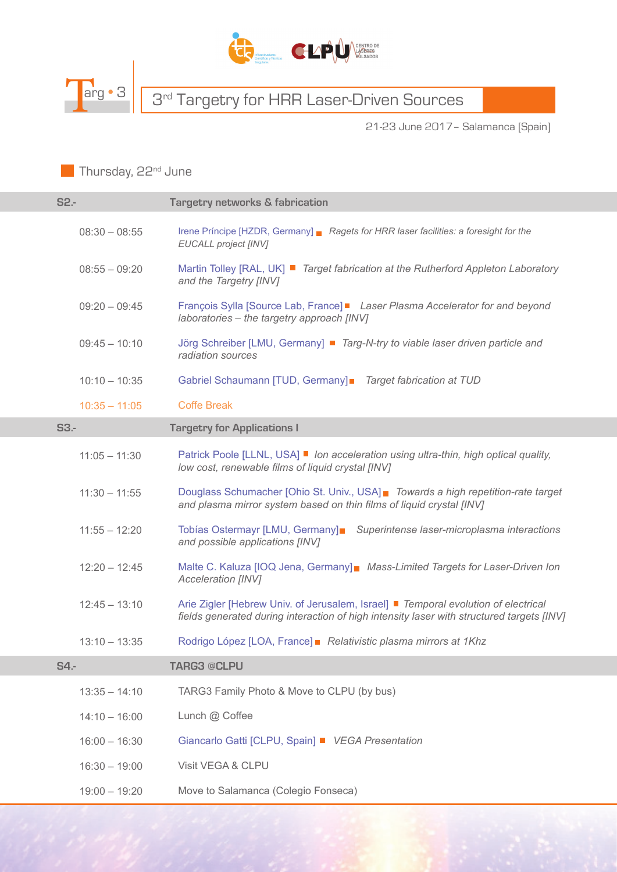



### Targ • 3 3rd Targetry for HRR Laser-Driven Sources

21-23 June 2017– Salamanca [Spain]

Thursday, 22<sup>nd</sup> June

| S2.-            | <b>Targetry networks &amp; fabrication</b>                                                                                                                                      |
|-----------------|---------------------------------------------------------------------------------------------------------------------------------------------------------------------------------|
| $08:30 - 08:55$ | Irene Príncipe [HZDR, Germany] Ragets for HRR laser facilities: a foresight for the<br><b>EUCALL project [INV]</b>                                                              |
| $08:55 - 09:20$ | Martin Tolley [RAL, UK] ■ Target fabrication at the Rutherford Appleton Laboratory<br>and the Targetry [INV]                                                                    |
| $09:20 - 09:45$ | François Sylla [Source Lab, France]■ Laser Plasma Accelerator for and beyond<br>laboratories - the targetry approach [INV]                                                      |
| $09:45 - 10:10$ | Jörg Schreiber [LMU, Germany] ■ Targ-N-try to viable laser driven particle and<br>radiation sources                                                                             |
| $10:10 - 10:35$ | Gabriel Schaumann [TUD, Germany] Target fabrication at TUD                                                                                                                      |
| $10:35 - 11:05$ | <b>Coffe Break</b>                                                                                                                                                              |
| $S3 -$          | <b>Targetry for Applications I</b>                                                                                                                                              |
| $11:05 - 11:30$ | Patrick Poole [LLNL, USA] ■ Ion acceleration using ultra-thin, high optical quality,<br>low cost, renewable films of liquid crystal [INV]                                       |
| $11:30 - 11:55$ | Douglass Schumacher [Ohio St. Univ., USA] Towards a high repetition-rate target<br>and plasma mirror system based on thin films of liquid crystal [INV]                         |
| $11:55 - 12:20$ | Tobías Ostermayr [LMU, Germany] Superintense laser-microplasma interactions<br>and possible applications [INV]                                                                  |
| $12:20 - 12:45$ | Malte C. Kaluza [IOQ Jena, Germany] Mass-Limited Targets for Laser-Driven Ion<br>Acceleration [INV]                                                                             |
| $12:45 - 13:10$ | Arie Zigler [Hebrew Univ. of Jerusalem, Israel] ■ Temporal evolution of electrical<br>fields generated during interaction of high intensity laser with structured targets [INV] |
| $13:10 - 13:35$ | Rodrigo López [LOA, France] Relativistic plasma mirrors at 1Khz                                                                                                                 |
| <b>S4.-</b>     | <b>TARG3 @CLPU</b>                                                                                                                                                              |
| $13:35 - 14:10$ | TARG3 Family Photo & Move to CLPU (by bus)                                                                                                                                      |
| $14:10 - 16:00$ | Lunch @ Coffee                                                                                                                                                                  |
| $16:00 - 16:30$ | Giancarlo Gatti [CLPU, Spain] ■ VEGA Presentation                                                                                                                               |
| $16:30 - 19:00$ | Visit VEGA & CLPU                                                                                                                                                               |
| $19:00 - 19:20$ | Move to Salamanca (Colegio Fonseca)                                                                                                                                             |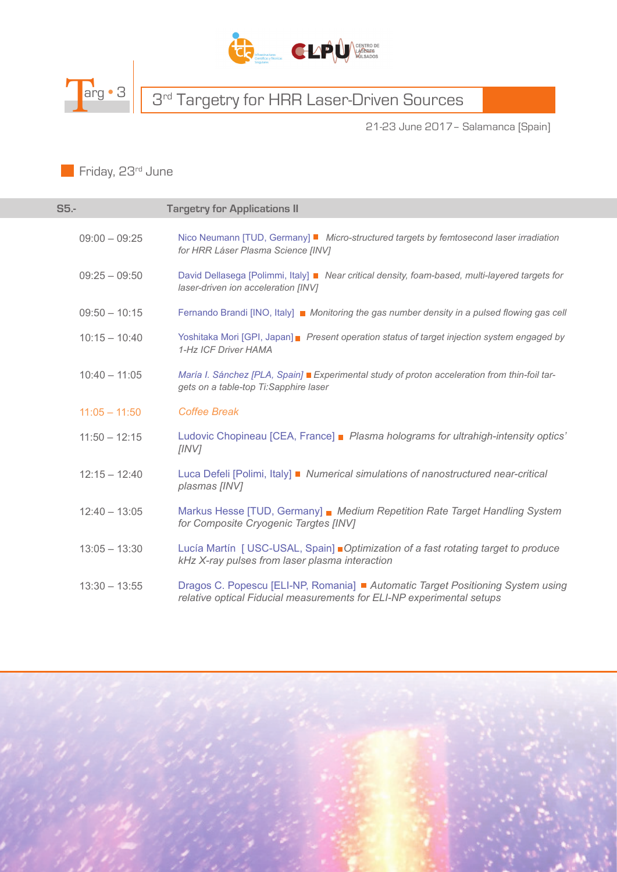



## Targ • 3 3rd Targetry for HRR Laser-Driven Sources

21-23 June 2017– Salamanca [Spain]

Friday, 23<sup>rd</sup> June

| S5.             | <b>Targetry for Applications II</b>                                                                                                                      |
|-----------------|----------------------------------------------------------------------------------------------------------------------------------------------------------|
| $09:00 - 09:25$ | Nico Neumann [TUD, Germany] ■ Micro-structured targets by femtosecond laser irradiation<br>for HRR Láser Plasma Science [INV]                            |
| $09:25 - 09:50$ | David Dellasega [Polimmi, Italy] Near critical density, foam-based, multi-layered targets for<br>laser-driven ion acceleration [INV]                     |
| $09:50 - 10:15$ | Fernando Brandi [INO, Italy] ■ Monitoring the gas number density in a pulsed flowing gas cell                                                            |
| $10:15 - 10:40$ | Yoshitaka Mori [GPI, Japan] Present operation status of target injection system engaged by<br>1-Hz ICF Driver HAMA                                       |
| $10:40 - 11:05$ | María I. Sánchez [PLA, Spain] Experimental study of proton acceleration from thin-foil tar-<br>gets on a table-top Ti:Sapphire laser                     |
| $11:05 - 11:50$ | <b>Coffee Break</b>                                                                                                                                      |
| $11:50 - 12:15$ | Ludovic Chopineau [CEA, France] Plasma holograms for ultrahigh-intensity optics'<br>[INV]                                                                |
| $12:15 - 12:40$ | Luca Defeli [Polimi, Italy] ■ Numerical simulations of nanostructured near-critical<br>plasmas [INV]                                                     |
| $12:40 - 13:05$ | Markus Hesse [TUD, Germany] Medium Repetition Rate Target Handling System<br>for Composite Cryogenic Targtes [INV]                                       |
| $13:05 - 13:30$ | Lucía Martín [ USC-USAL, Spain] Optimization of a fast rotating target to produce<br>kHz X-ray pulses from laser plasma interaction                      |
| $13:30 - 13:55$ | Dragos C. Popescu [ELI-NP, Romania] ■ Automatic Target Positioning System using<br>relative optical Fiducial measurements for ELI-NP experimental setups |